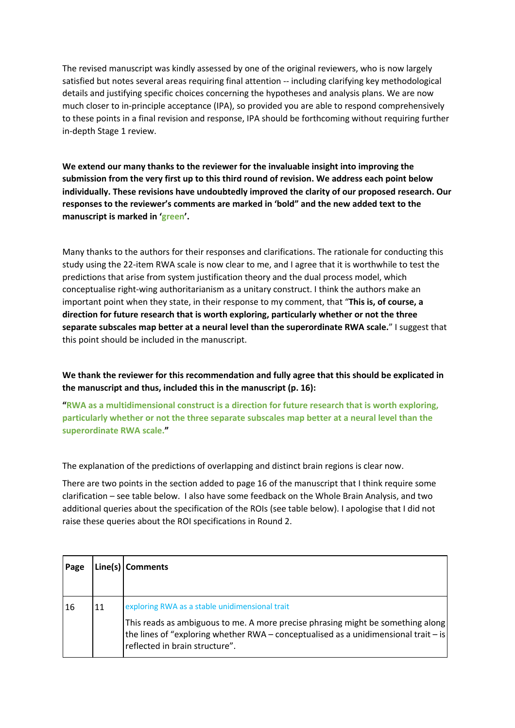The revised manuscript was kindly assessed by one of the original reviewers, who is now largely satisfied but notes several areas requiring final attention -- including clarifying key methodological details and justifying specific choices concerning the hypotheses and analysis plans. We are now much closer to in-principle acceptance (IPA), so provided you are able to respond comprehensively to these points in a final revision and response, IPA should be forthcoming without requiring further in-depth Stage 1 review.

**We extend our many thanks to the reviewer for the invaluable insight into improving the submission from the very first up to this third round of revision. We address each point below individually. These revisions have undoubtedly improved the clarity of our proposed research. Our responses to the reviewer's comments are marked in 'bold" and the new added text to the manuscript is marked in 'green'.**

Many thanks to the authors for their responses and clarifications. The rationale for conducting this study using the 22-item RWA scale is now clear to me, and I agree that it is worthwhile to test the predictions that arise from system justification theory and the dual process model, which conceptualise right-wing authoritarianism as a unitary construct. I think the authors make an important point when they state, in their response to my comment, that "**This is, of course, a direction for future research that is worth exploring, particularly whether or not the three separate subscales map better at a neural level than the superordinate RWA scale.**" I suggest that this point should be included in the manuscript.

**We thank the reviewer for this recommendation and fully agree that this should be explicated in the manuscript and thus, included this in the manuscript (p. 16):**

**"RWA as a multidimensional construct is a direction for future research that is worth exploring, particularly whether or not the three separate subscales map better at a neural level than the superordinate RWA scale."**

The explanation of the predictions of overlapping and distinct brain regions is clear now.

There are two points in the section added to page 16 of the manuscript that I think require some clarification – see table below. I also have some feedback on the Whole Brain Analysis, and two additional queries about the specification of the ROIs (see table below). I apologise that I did not raise these queries about the ROI specifications in Round 2.

| Page |    | Line(s)   Comments                                                                                                                                                                                                                                           |
|------|----|--------------------------------------------------------------------------------------------------------------------------------------------------------------------------------------------------------------------------------------------------------------|
| 16   | 11 | exploring RWA as a stable unidimensional trait<br>This reads as ambiguous to me. A more precise phrasing might be something along<br>the lines of "exploring whether $RWA$ – conceptualised as a unidimensional trait – is<br>reflected in brain structure". |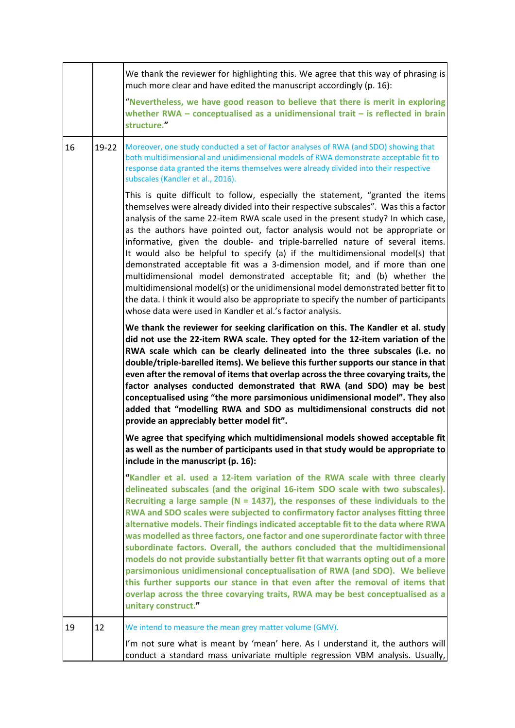|    |       | We thank the reviewer for highlighting this. We agree that this way of phrasing is<br>much more clear and have edited the manuscript accordingly (p. 16):                                                                                                                                                                                                                                                                                                                                                                                                                                                                                                                                                                                                                                                                                                                                                                                                       |
|----|-------|-----------------------------------------------------------------------------------------------------------------------------------------------------------------------------------------------------------------------------------------------------------------------------------------------------------------------------------------------------------------------------------------------------------------------------------------------------------------------------------------------------------------------------------------------------------------------------------------------------------------------------------------------------------------------------------------------------------------------------------------------------------------------------------------------------------------------------------------------------------------------------------------------------------------------------------------------------------------|
|    |       | "Nevertheless, we have good reason to believe that there is merit in exploring<br>whether RWA $-$ conceptualised as a unidimensional trait $-$ is reflected in brain<br>structure."                                                                                                                                                                                                                                                                                                                                                                                                                                                                                                                                                                                                                                                                                                                                                                             |
| 16 | 19-22 | Moreover, one study conducted a set of factor analyses of RWA (and SDO) showing that<br>both multidimensional and unidimensional models of RWA demonstrate acceptable fit to<br>response data granted the items themselves were already divided into their respective<br>subscales (Kandler et al., 2016).                                                                                                                                                                                                                                                                                                                                                                                                                                                                                                                                                                                                                                                      |
|    |       | This is quite difficult to follow, especially the statement, "granted the items<br>themselves were already divided into their respective subscales". Was this a factor<br>analysis of the same 22-item RWA scale used in the present study? In which case,<br>as the authors have pointed out, factor analysis would not be appropriate or<br>informative, given the double- and triple-barrelled nature of several items.<br>It would also be helpful to specify (a) if the multidimensional model(s) that<br>demonstrated acceptable fit was a 3-dimension model, and if more than one<br>multidimensional model demonstrated acceptable fit; and (b) whether the<br>multidimensional model(s) or the unidimensional model demonstrated better fit to<br>the data. I think it would also be appropriate to specify the number of participants<br>whose data were used in Kandler et al.'s factor analysis.                                                    |
|    |       | We thank the reviewer for seeking clarification on this. The Kandler et al. study<br>did not use the 22-item RWA scale. They opted for the 12-item variation of the<br>RWA scale which can be clearly delineated into the three subscales (i.e. no<br>double/triple-barelled items). We believe this further supports our stance in that<br>even after the removal of items that overlap across the three covarying traits, the<br>factor analyses conducted demonstrated that RWA (and SDO) may be best<br>conceptualised using "the more parsimonious unidimensional model". They also<br>added that "modelling RWA and SDO as multidimensional constructs did not<br>provide an appreciably better model fit".                                                                                                                                                                                                                                               |
|    |       | We agree that specifying which multidimensional models showed acceptable fit<br>as well as the number of participants used in that study would be appropriate to<br>include in the manuscript (p. 16):                                                                                                                                                                                                                                                                                                                                                                                                                                                                                                                                                                                                                                                                                                                                                          |
|    |       | "Kandler et al. used a 12-item variation of the RWA scale with three clearly<br>delineated subscales (and the original 16-item SDO scale with two subscales).<br>Recruiting a large sample ( $N = 1437$ ), the responses of these individuals to the<br>RWA and SDO scales were subjected to confirmatory factor analyses fitting three<br>alternative models. Their findings indicated acceptable fit to the data where RWA<br>was modelled as three factors, one factor and one superordinate factor with three<br>subordinate factors. Overall, the authors concluded that the multidimensional<br>models do not provide substantially better fit that warrants opting out of a more<br>parsimonious unidimensional conceptualisation of RWA (and SDO). We believe<br>this further supports our stance in that even after the removal of items that<br>overlap across the three covarying traits, RWA may be best conceptualised as a<br>unitary construct." |
| 19 | 12    | We intend to measure the mean grey matter volume (GMV).                                                                                                                                                                                                                                                                                                                                                                                                                                                                                                                                                                                                                                                                                                                                                                                                                                                                                                         |
|    |       | I'm not sure what is meant by 'mean' here. As I understand it, the authors will<br>conduct a standard mass univariate multiple regression VBM analysis. Usually,                                                                                                                                                                                                                                                                                                                                                                                                                                                                                                                                                                                                                                                                                                                                                                                                |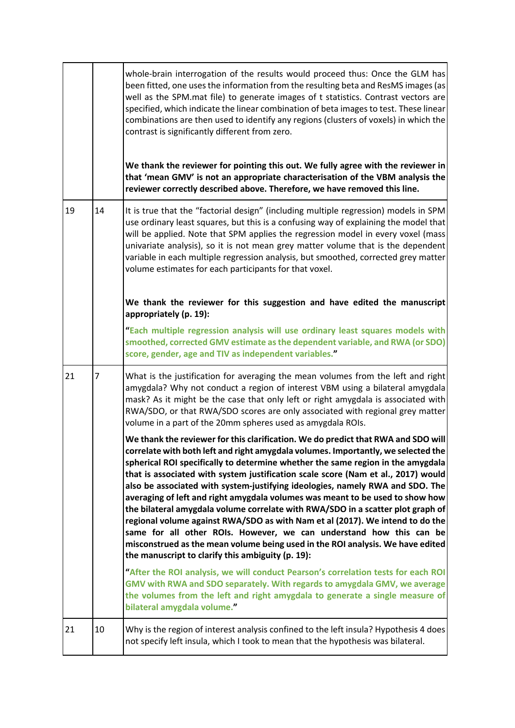|    |    | whole-brain interrogation of the results would proceed thus: Once the GLM has<br>been fitted, one uses the information from the resulting beta and ResMS images (as<br>well as the SPM mat file) to generate images of t statistics. Contrast vectors are<br>specified, which indicate the linear combination of beta images to test. These linear<br>combinations are then used to identify any regions (clusters of voxels) in which the<br>contrast is significantly different from zero.<br>We thank the reviewer for pointing this out. We fully agree with the reviewer in<br>that 'mean GMV' is not an appropriate characterisation of the VBM analysis the<br>reviewer correctly described above. Therefore, we have removed this line.                                                                                                                                                    |
|----|----|----------------------------------------------------------------------------------------------------------------------------------------------------------------------------------------------------------------------------------------------------------------------------------------------------------------------------------------------------------------------------------------------------------------------------------------------------------------------------------------------------------------------------------------------------------------------------------------------------------------------------------------------------------------------------------------------------------------------------------------------------------------------------------------------------------------------------------------------------------------------------------------------------|
| 19 | 14 | It is true that the "factorial design" (including multiple regression) models in SPM<br>use ordinary least squares, but this is a confusing way of explaining the model that<br>will be applied. Note that SPM applies the regression model in every voxel (mass<br>univariate analysis), so it is not mean grey matter volume that is the dependent<br>variable in each multiple regression analysis, but smoothed, corrected grey matter<br>volume estimates for each participants for that voxel.                                                                                                                                                                                                                                                                                                                                                                                               |
|    |    | We thank the reviewer for this suggestion and have edited the manuscript<br>appropriately (p. 19):                                                                                                                                                                                                                                                                                                                                                                                                                                                                                                                                                                                                                                                                                                                                                                                                 |
|    |    | "Each multiple regression analysis will use ordinary least squares models with<br>smoothed, corrected GMV estimate as the dependent variable, and RWA (or SDO)<br>score, gender, age and TIV as independent variables."                                                                                                                                                                                                                                                                                                                                                                                                                                                                                                                                                                                                                                                                            |
| 21 | 7  | What is the justification for averaging the mean volumes from the left and right<br>amygdala? Why not conduct a region of interest VBM using a bilateral amygdala<br>mask? As it might be the case that only left or right amygdala is associated with<br>RWA/SDO, or that RWA/SDO scores are only associated with regional grey matter<br>volume in a part of the 20mm spheres used as amygdala ROIs.                                                                                                                                                                                                                                                                                                                                                                                                                                                                                             |
|    |    | We thank the reviewer for this clarification. We do predict that RWA and SDO will<br>correlate with both left and right amygdala volumes. Importantly, we selected the<br>spherical ROI specifically to determine whether the same region in the amygdala<br>that is associated with system justification scale score (Nam et al., 2017) would<br>also be associated with system-justifying ideologies, namely RWA and SDO. The<br>averaging of left and right amygdala volumes was meant to be used to show how<br>the bilateral amygdala volume correlate with RWA/SDO in a scatter plot graph of<br>regional volume against RWA/SDO as with Nam et al (2017). We intend to do the<br>same for all other ROIs. However, we can understand how this can be<br>misconstrued as the mean volume being used in the ROI analysis. We have edited<br>the manuscript to clarify this ambiguity (p. 19): |
|    |    | "After the ROI analysis, we will conduct Pearson's correlation tests for each ROI<br>GMV with RWA and SDO separately. With regards to amygdala GMV, we average<br>the volumes from the left and right amygdala to generate a single measure of<br>bilateral amygdala volume."                                                                                                                                                                                                                                                                                                                                                                                                                                                                                                                                                                                                                      |
| 21 | 10 | Why is the region of interest analysis confined to the left insula? Hypothesis 4 does<br>not specify left insula, which I took to mean that the hypothesis was bilateral.                                                                                                                                                                                                                                                                                                                                                                                                                                                                                                                                                                                                                                                                                                                          |